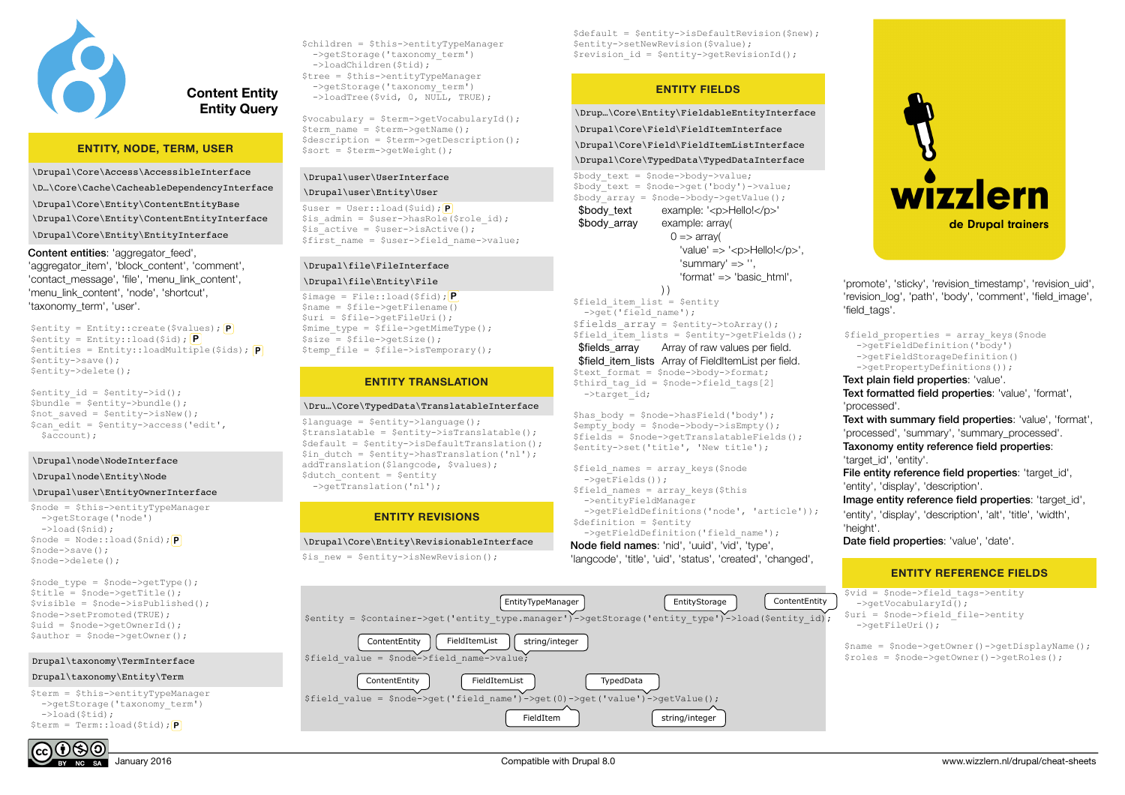

# **Content Entity Entity Query**

# **ENTITY, NODE, TERM, USER**

\Drupal\Core\Access\AccessibleInterface \D…\Core\Cache\CacheableDependencyInterface \Drupal\Core\Entity\ContentEntityBase \Drupal\Core\Entity\ContentEntityInterface \Drupal\Core\Entity\EntityInterface

Content entities: 'aggregator feed', 'aggregator\_item', 'block\_content', 'comment', 'contact\_message', 'file', 'menu\_link\_content', 'menu\_link\_content', 'node', 'shortcut', 'taxonomy\_term', 'user'.

\$entity = Entity::create(\$values); **P** \$entity = Entity::load(\$id); **P** \$entities = Entity::loadMultiple(\$ids); **P** \$entity->save(); \$entity->delete();

 $$$ entity id =  $$$ entity->id();  $$bundle = Sentity->bundle()$ ;  $\text{Sort}\ \text{saved} = \text{Sentitv-}\text{simw}()$ ; \$can\_edit = \$entity->access('edit',  $saccount);$ 

\Drupal\node\NodeInterface

#### \Drupal\node\Entity\Node

### \Drupal\user\EntityOwnerInterface

\$node = \$this->entityTypeManager ->getStorage('node')  $\rightarrow$ load(\$nid); \$node = Node::load(\$nid); **P** \$node->save(); \$node->delete();

 $$node type = $node->qetType()$ ; \$title = \$node->getTitle();  $$visible = $node->isPublished()$ ; \$node->setPromoted(TRUE);  $\text{Suid} = \text{Snode} - \text{Scale}$ \$author = \$node->getOwner();

### Drupal\taxonomy\TermInterface

### Drupal\taxonomy\Entity\Term

\$term = \$this->entityTypeManager ->getStorage('taxonomy\_term')  $->$ load( $$tid$ ); \$term = Term::load(\$tid); **P**



\$vocabulary = \$term->getVocabularyId();  $Stermname = Strerm-2getName()$ : \$description = \$term->getDescription(); \$sort = \$term->getWeight();

# \Drupal\user\UserInterface

# \Drupal\user\Entity\User

\$user = User::load(\$uid); **P**  $s$ is admin =  $s$ user->hasRole( $s$ role id);  $$is<sup>-</sup>active = $user->isActive()$ ;  $$first name = $user->field name->value;$ 

# \Drupal\file\FileInterface

### \Drupal\file\Entity\File

\$image = File::load(\$fid); **P**  $\text{Same} = \text{Sille} - \text{sqrtFilename}$ \$uri = \$file->getFileUri(); \$mime\_type = \$file->getMimeType();  $ssize = sfile->getSize()$ ;  $$temp file = $file->isTemporary();$ 

# **ENTITY TRANSLATION**

### \Dru…\Core\TypedData\TranslatableInterface

 $$$ language =  $$$ entity->language():  $$translatable = $entity->isTranslatable()$ ;  $$default = $entity->isDefaultTransaction();$  $$in$  dutch =  $$entity->hasTranslation('nl');$ addTranslation(\$langcode, \$values); \$dutch content = \$entity ->getTranslation('nl');

# **ENTITY REVISIONS**

\Drupal\Core\Entity\RevisionableInterface

\$is new = \$entity->isNewRevision();

\$default = \$entity->isDefaultRevision(\$new); \$entity->setNewRevision(\$value);  $$revision_id = Sentity-2getRevisionId()$ ;

# **ENTITY FIELDS**

\Drup…\Core\Entity\FieldableEntityInterface

\Drupal\Core\Field\FieldItemInterface

\Drupal\Core\Field\FieldItemListInterface \Drupal\Core\TypedData\TypedDataInterface

 $$body$  text =  $$node->body->value;$ \$body\_text = \$node->get('body')->value;  $\frac{1}{2}$ \$body<sup>-2</sup>array = \$node->body->getValue();

\$body\_text example: '<p>Hello!</p>' \$body\_array example: array(

 $0 \Rightarrow$  array( 'value' => '<p>Hello!</p>',  $'$ summary' => ".

'format' => 'basic\_html',

) ) \$field item list = \$entity  $-\frac{1}{\sqrt{1-\frac{1}{1-\frac{1}{1-\frac{1}{1-\frac{1}{1-\frac{1}{1-\frac{1}{1-\frac{1}{1-\frac{1}{1-\frac{1}{1-\frac{1}{1-\frac{1}{1-\frac{1}{1-\frac{1}{1-\frac{1}{1-\frac{1}{1-\frac{1}{1-\frac{1}{1-\frac{1}{1-\frac{1}{1-\frac{1}{1-\frac{1}{1-\frac{1}{1-\frac{1}{1-\frac{1}{1-\frac{1}{1-\frac{1}{1-\frac{1}{1-\frac{1}{1-\frac{1}{1-\frac{1}{1-\frac{1}{1-\frac{1}{1-\frac{1}{1-\frac{1}{1-\frac{1}{1-\$  $$fields$   $array =$   $$entity->toArray()$ ;  $$field$  item lists =  $$entity->getFields()$ ; \$fields\_array Array of raw values per field. \$field\_item\_lists Array of FieldItemList per field. \$text format = \$node->body->format;  $$third$  tag id = \$node->field tags[2]  $\frac{1}{\sqrt{3}}$ 

\$has\_body = \$node->hasField('body');  $\textrm{Sempty}$  body = \$node->body->isEmpty(); \$fields = \$node->getTranslatableFields(); \$entity->set('title', 'New title');

\$field\_names = array\_keys(\$node ->getFields()); \$field names = array keys(\$this ->entityFieldManager ->getFieldDefinitions('node', 'article')); \$definition = \$entity ->getFieldDefinition('field\_name'); Node field names: 'nid', 'uuid', 'vid', 'type', 'langcode', 'title', 'uid', 'status', 'created', 'changed',

EntityStorage | ContentEntity

wizzlern de Drupal trainers

'promote', 'sticky', 'revision\_timestamp', 'revision\_uid', 'revision\_log', 'path', 'body', 'comment', 'field\_image', 'field\_tags'.

\$field properties = array keys(\$node ->getFieldDefinition('body') ->getFieldStorageDefinition() ->getPropertyDefinitions()); Text plain field properties: 'value'. Text formatted field properties: 'value', 'format', 'processed'.

Text with summary field properties: 'value', 'format', 'processed', 'summary', 'summary\_processed'.

Taxonomy entity reference field properties: 'target\_id', 'entity'.

File entity reference field properties: 'target id', 'entity', 'display', 'description'.

Image entity reference field properties: 'target id', 'entity', 'display', 'description', 'alt', 'title', 'width', 'height'. Date field properties: 'value', 'date'.

# **ENTITY REFERENCE FIELDS**

\$vid = \$node->field\_tags->entity ->getVocabularyId(); \$uri = \$node->field\_file->entity ->getFileUri();

| $\frac{1}{2}$ frame = $\frac{1}{2}$ node->qetOwner()->qetDisplayName(); |  |
|-------------------------------------------------------------------------|--|
| $\frac{1}{2}$ froles = $\frac{1}{2}$ node->qetOwner()->qetRoles();      |  |

\$entity = \$container->get('entity\_type.manager')->getStorage('entity\_type')->load(\$entity\_id); ContentEntity | FieldItemList | string/integer

EntityTypeManager

\$field\_value = \$node->field\_name->value;

ContentEntity | FieldItemList | TypedData

\$field\_value = \$node->get('field\_name')->get(0)->get('value')->getValue();

FieldItem | string/integer